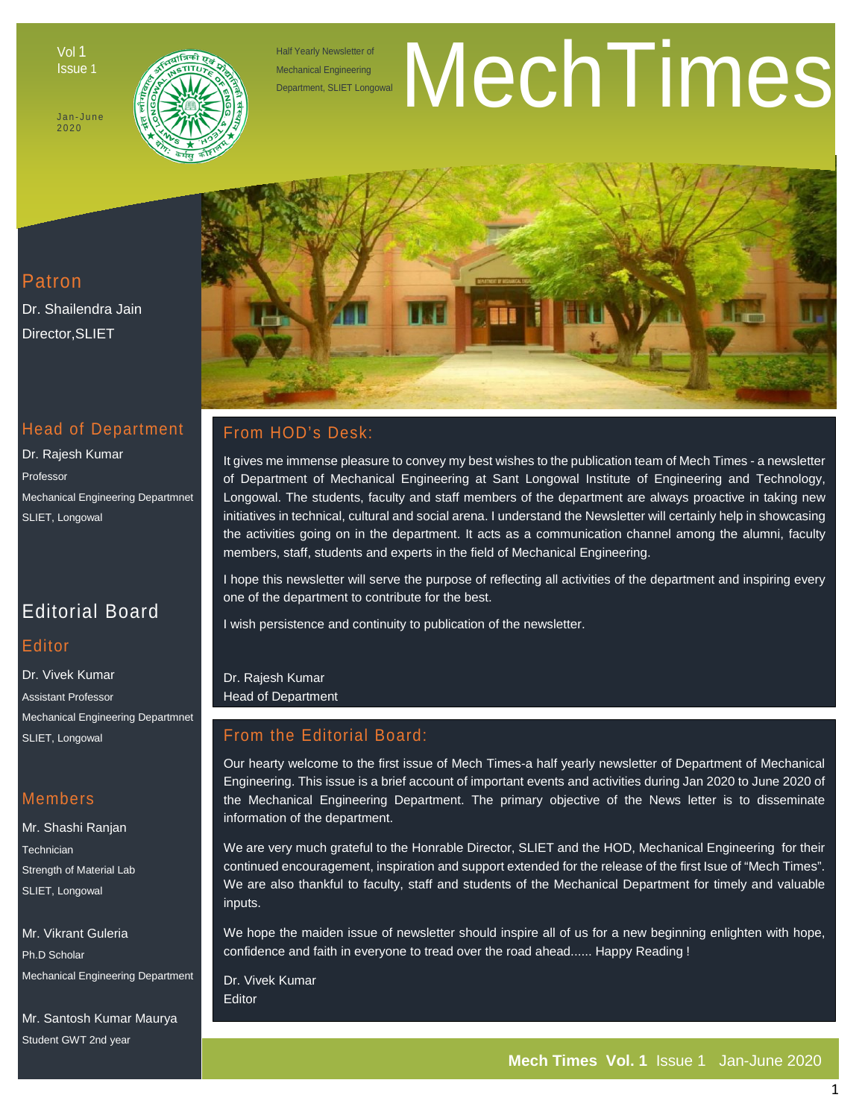Vol 1 Issue 1

Jan - June 2020



Half Yearly Newsletter of Mechanical Engineering

# Half Yearly Newsletter of<br>Mechanical Engineering<br>Department, SLIET Longowal

## Patron

Dr. Shailendra Jain Director,SLIET

## Head of Department

Dr. Rajesh Kumar Professor Mechanical Engineering Departmnet SLIET, Longowal

# Editorial Board

#### **Editor**

Dr. Vivek Kumar Assistant Professor Mechanical Engineering Departmnet SLIET, Longowal

#### Members

Mr. Shashi Ranjan **Technician** Strength of Material Lab SLIET, Longowal

Mr. Vikrant Guleria Ph.D Scholar Mechanical Engineering Department

Mr. Santosh Kumar Maurya Student GWT 2nd year



## From HOD's Desk:

It gives me immense pleasure to convey my best wishes to the publication team of Mech Times - a newsletter of Department of Mechanical Engineering at Sant Longowal Institute of Engineering and Technology, Longowal. The students, faculty and staff members of the department are always proactive in taking new initiatives in technical, cultural and social arena. I understand the Newsletter will certainly help in showcasing the activities going on in the department. It acts as a communication channel among the alumni, faculty members, staff, students and experts in the field of Mechanical Engineering.

I hope this newsletter will serve the purpose of reflecting all activities of the department and inspiring every one of the department to contribute for the best.

I wish persistence and continuity to publication of the newsletter.

Dr. Rajesh Kumar Head of Department

## From the Editorial Board:

Our hearty welcome to the first issue of Mech Times-a half yearly newsletter of Department of Mechanical Engineering. This issue is a brief account of important events and activities during Jan 2020 to June 2020 of the Mechanical Engineering Department. The primary objective of the News letter is to disseminate information of the department.

We are very much grateful to the Honrable Director, SLIET and the HOD, Mechanical Engineering for their continued encouragement, inspiration and support extended for the release of the first Isue of "Mech Times". We are also thankful to faculty, staff and students of the Mechanical Department for timely and valuable inputs.

We hope the maiden issue of newsletter should inspire all of us for a new beginning enlighten with hope, confidence and faith in everyone to tread over the road ahead...... Happy Reading !

Dr. Vivek Kumar **Editor**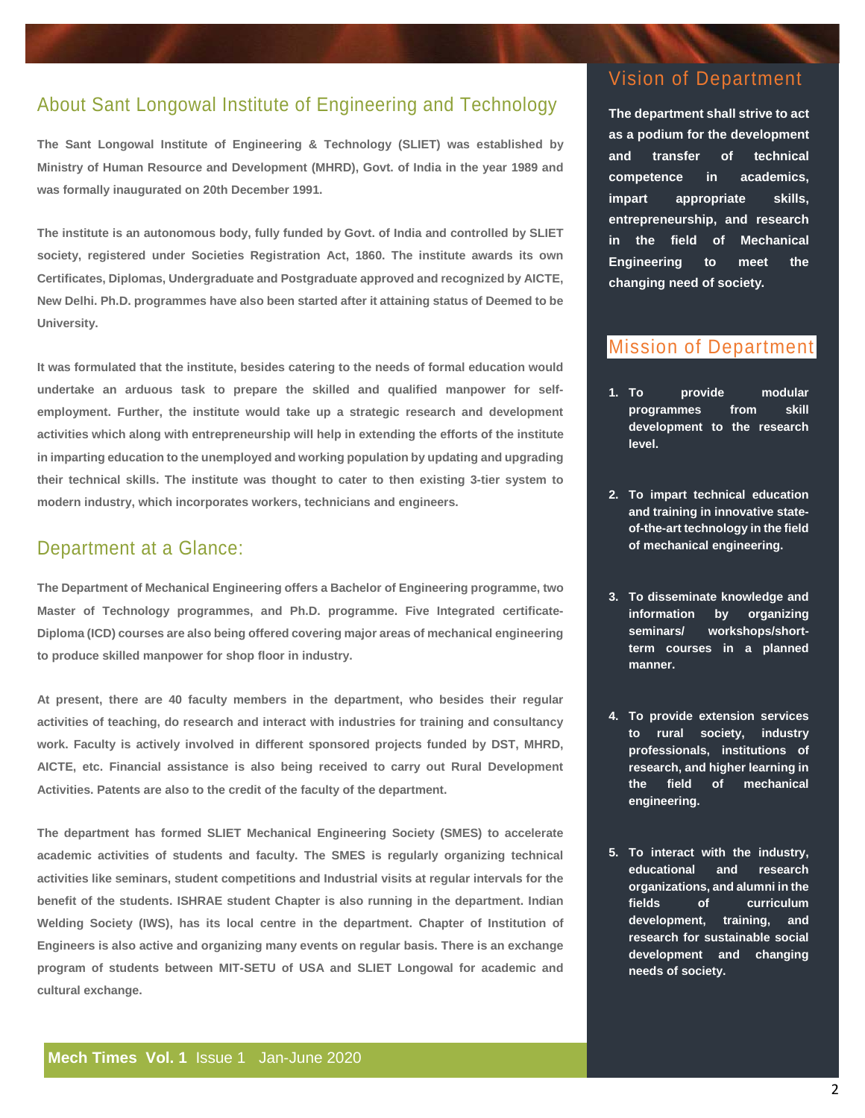## About Sant Longowal Institute of Engineering and Technology

**The Sant Longowal Institute of Engineering & Technology (SLIET) was established by Ministry of Human Resource and Development (MHRD), Govt. of India in the year 1989 and was formally inaugurated on 20th December 1991.**

**The institute is an autonomous body, fully funded by Govt. of India and controlled by SLIET society, registered under Societies Registration Act, 1860. The institute awards its own Certificates, Diplomas, Undergraduate and Postgraduate approved and recognized by AICTE, New Delhi. Ph.D. programmes have also been started after it attaining status of Deemed to be University.**

**It was formulated that the institute, besides catering to the needs of formal education would undertake an arduous task to prepare the skilled and qualified manpower for selfemployment. Further, the institute would take up a strategic research and development activities which along with entrepreneurship will help in extending the efforts of the institute in imparting education to the unemployed and working population by updating and upgrading their technical skills. The institute was thought to cater to then existing 3-tier system to modern industry, which incorporates workers, technicians and engineers.**

#### Department at a Glance:

**The Department of Mechanical Engineering offers a Bachelor of Engineering programme, two Master of Technology programmes, and Ph.D. programme. Five Integrated certificate-Diploma (ICD) courses are also being offered covering major areas of mechanical engineering to produce skilled manpower for shop floor in industry.**

**At present, there are 40 faculty members in the department, who besides their regular activities of teaching, do research and interact with industries for training and consultancy work. Faculty is actively involved in different sponsored projects funded by DST, MHRD, AICTE, etc. Financial assistance is also being received to carry out Rural Development Activities. Patents are also to the credit of the faculty of the department.**

**The department has formed SLIET Mechanical Engineering Society (SMES) to accelerate academic activities of students and faculty. The SMES is regularly organizing technical activities like seminars, student competitions and Industrial visits at regular intervals for the benefit of the students. ISHRAE student Chapter is also running in the department. Indian Welding Society (IWS), has its local centre in the department. Chapter of Institution of Engineers is also active and organizing many events on regular basis. There is an exchange program of students between MIT-SETU of USA and SLIET Longowal for academic and cultural exchange.** 

# Vision of Department

**The department shall strive to act as a podium for the development and transfer of technical competence in academics, impart appropriate skills, entrepreneurship, and research in the field of Mechanical Engineering to meet the changing need of society.**

## Mission of Department

- **1. To provide modular programmes from skill development to the research level.**
- **2. To impart technical education and training in innovative stateof-the-art technology in the field of mechanical engineering.**
- **3. To disseminate knowledge and information by organizing seminars/ workshops/shortterm courses in a planned manner.**
- **4. To provide extension services to rural society, industry professionals, institutions of research, and higher learning in the field of mechanical engineering.**
- **5. To interact with the industry, educational and research organizations, and alumni in the fields of curriculum development, training, and research for sustainable social development and changing needs of society.**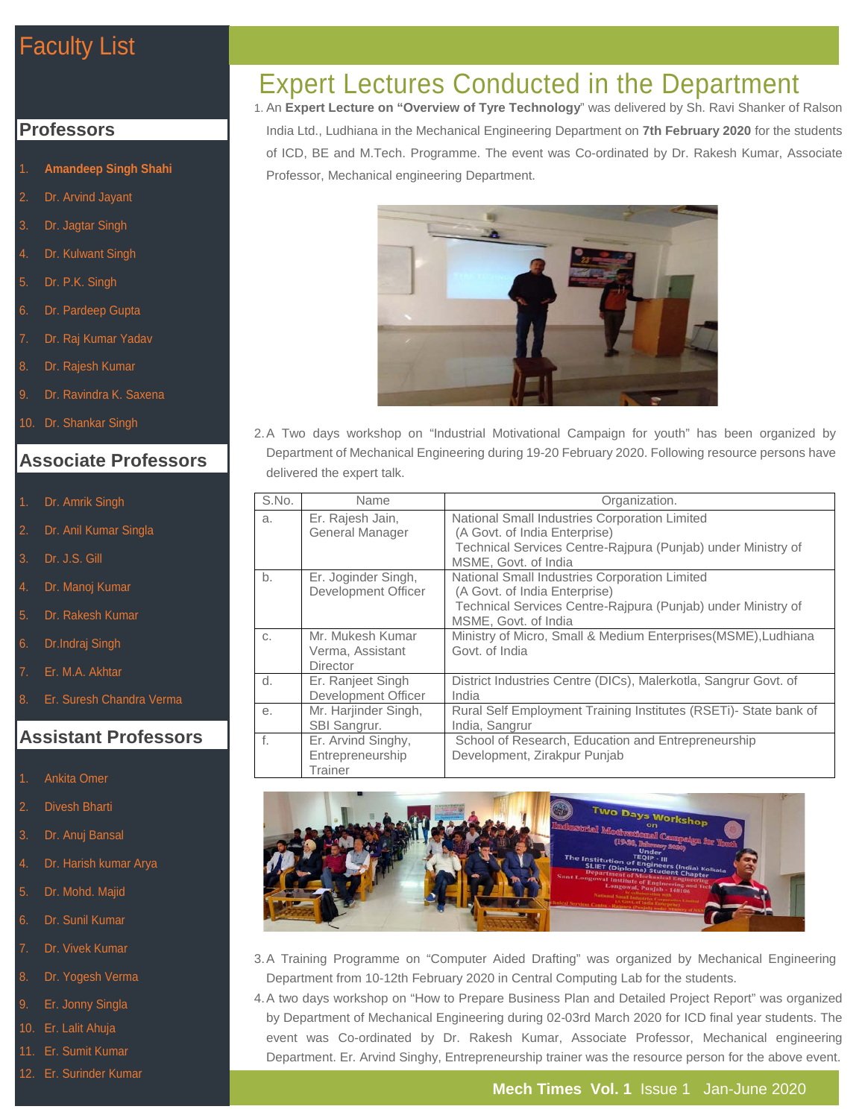# Faculty List

#### **Professors**

- 1. **Amandeep Singh Shahi**
- Dr. Arvind Jayant
- 3. Dr. Jagtar Singh
- Dr. Kulwant Singh
- 5. Dr. P.K. Singh
- 6. Dr. Pardeep Gupta
- Dr. Raj Kumar Yadav
- 8. Dr. Rajesh Kumar
- Dr. Ravindra K. Saxena
- 10. Dr. Shankar Singh

#### **Associate Professors**

- Dr. Amrik Singh
- Dr. Anil Kumar Singla
- Dr. J.S. Gill
- Dr. Manoj Kumar
- 5. Dr. Rakesh Kumar
- 6. Dr.Indraj Singh
- 7. Er. M.A. Akhtar
- 8. Er. Suresh Chandra Verma

#### **Assistant Professors**

- 1. Ankita Omer
- 2. Divesh Bharti
- 3. Dr. Anuj Bansal
- 4. Dr. Harish kumar Arya
- 5. Dr. Mohd. Majid
- 6. Dr. Sunil Kumar
- Dr. Vivek Kumar
- 8. Dr. Yogesh Verma
- 9. Er. Jonny Singla
- 10. Er. Lalit Ahuja
- 11. Er. Sumit Kumar
- 12. Er. Surinder Kumar

# Expert Lectures Conducted in the Department

1. An **Expert Lecture on "Overview of Tyre Technology**" was delivered by Sh. Ravi Shanker of Ralson India Ltd., Ludhiana in the Mechanical Engineering Department on **7th February 2020** for the students of ICD, BE and M.Tech. Programme. The event was Co-ordinated by Dr. Rakesh Kumar, Associate Professor, Mechanical engineering Department.



2.A Two days workshop on "Industrial Motivational Campaign for youth" has been organized by Department of Mechanical Engineering during 19-20 February 2020. Following resource persons have delivered the expert talk.

| S.No. | Name                                                     | Organization.                                                                                                                                                          |
|-------|----------------------------------------------------------|------------------------------------------------------------------------------------------------------------------------------------------------------------------------|
| a.    | Er. Rajesh Jain,<br>General Manager                      | National Small Industries Corporation Limited<br>(A Govt. of India Enterprise)<br>Technical Services Centre-Rajpura (Punjab) under Ministry of<br>MSME, Govt. of India |
| b.    | Er. Joginder Singh,<br>Development Officer               | National Small Industries Corporation Limited<br>(A Govt. of India Enterprise)<br>Technical Services Centre-Rajpura (Punjab) under Ministry of<br>MSME, Govt. of India |
| C.    | Mr. Mukesh Kumar<br>Verma, Assistant<br><b>Director</b>  | Ministry of Micro, Small & Medium Enterprises (MSME), Ludhiana<br>Govt. of India                                                                                       |
| d.    | Er. Ranjeet Singh<br>Development Officer                 | District Industries Centre (DICs), Malerkotla, Sangrur Govt. of<br>India                                                                                               |
| е.    | Mr. Harjinder Singh,<br>SBI Sangrur.                     | Rural Self Employment Training Institutes (RSETi)- State bank of<br>India, Sangrur                                                                                     |
| f.    | Er. Arvind Singhy,<br>Entrepreneurship<br><b>Trainer</b> | School of Research, Education and Entrepreneurship<br>Development, Zirakpur Punjab                                                                                     |



- 3.A Training Programme on "Computer Aided Drafting" was organized by Mechanical Engineering Department from 10-12th February 2020 in Central Computing Lab for the students.
- 4.A two days workshop on "How to Prepare Business Plan and Detailed Project Report" was organized by Department of Mechanical Engineering during 02-03rd March 2020 for ICD final year students. The event was Co-ordinated by Dr. Rakesh Kumar, Associate Professor, Mechanical engineering Department. Er. Arvind Singhy, Entrepreneurship trainer was the resource person for the above event.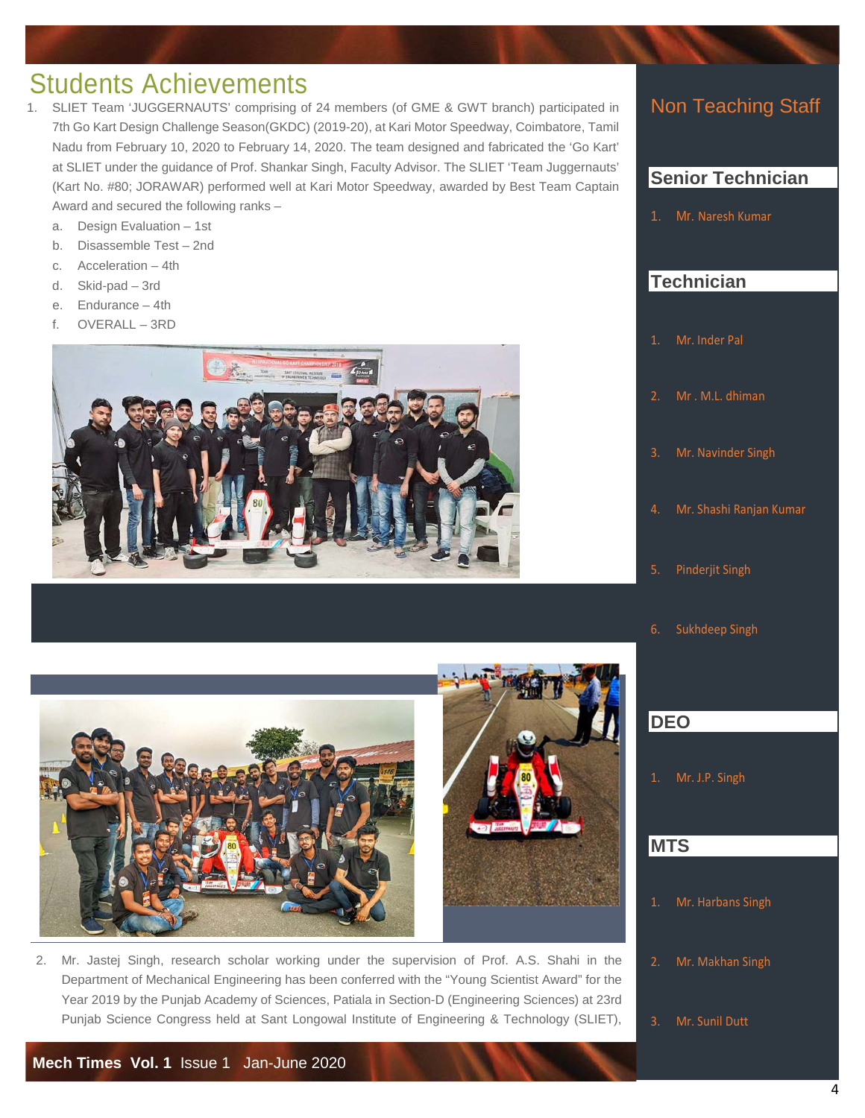# Students Achievements

- SLIET Team 'JUGGERNAUTS' comprising of 24 members (of GME & GWT branch) participated in 7th Go Kart Design Challenge Season(GKDC) (2019-20), at Kari Motor Speedway, Coimbatore, Tamil Nadu from February 10, 2020 to February 14, 2020. The team designed and fabricated the 'Go Kart' at SLIET under the guidance of Prof. Shankar Singh, Faculty Advisor. The SLIET 'Team Juggernauts' (Kart No. #80; JORAWAR) performed well at Kari Motor Speedway, awarded by Best Team Captain Award and secured the following ranks –
	- a. Design Evaluation 1st
	- b. Disassemble Test 2nd
	- c. Acceleration 4th
	- d. Skid-pad 3rd
	- e. Endurance 4th
	- f. OVERALL 3RD





2. Mr. Jastej Singh, research scholar working under the supervision of Prof. A.S. Shahi in the Department of Mechanical Engineering has been conferred with the "Young Scientist Award" for the Year 2019 by the Punjab Academy of Sciences, Patiala in Section-D (Engineering Sciences) at 23rd Punjab Science Congress held at Sant Longowal Institute of Engineering & Technology (SLIET),

## Non Teaching Staff

## **Senior Technician**

1. Mr. [Naresh Kumar](http://mech.sliet.ac.in/people/nkumar/) 

## **Technician**

- 1. Mr. [Inder Pal](http://mech.sliet.ac.in/people/inderpal/)
- 
- 3. Mr. [Navinder Singh](http://mech.sliet.ac.in/people/navindersingh/)
- 4. Mr. [Shashi Ranjan Kumar](http://mech.sliet.ac.in/people/shashi/)
- 5. Pinderjit Singh
- 6. Sukhdeep Singh

## **DEO**

1. Mr. [J.P. Singh](http://mech.sliet.ac.in/people/jpsingh/)

#### **MTS**

- 1. Mr. [Harbans Singh](http://mech.sliet.ac.in/people/harbanssingh/)
- 2. Mr. [Makhan Singh](http://mech.sliet.ac.in/people/makhansingh/)
- 3. Mr. [Sunil Dutt](http://mech.sliet.ac.in/people/sunildutt/)

l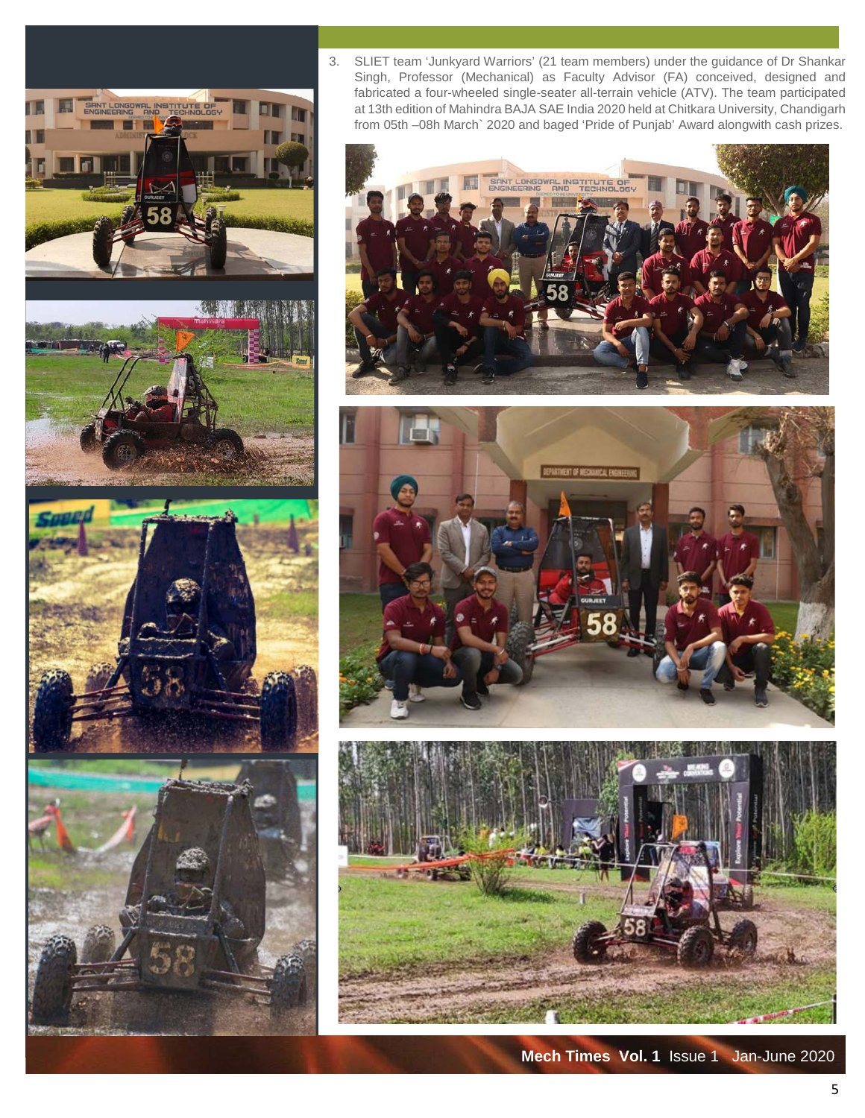3. SLIET team 'Junkyard Warriors' (21 team members) under the guidance of Dr Shankar Singh, Professor (Mechanical) as Faculty Advisor (FA) conceived, designed and fabricated a four-wheeled single-seater all-terrain vehicle (ATV). The team participated at 13th edition of Mahindra BAJA SAE India 2020 held at Chitkara University, Chandigarh from 05th –08h March` 2020 and baged 'Pride of Punjab' Award alongwith cash prizes.







**Mech Times Vol. 1** Issue 1 Jan-June 2020







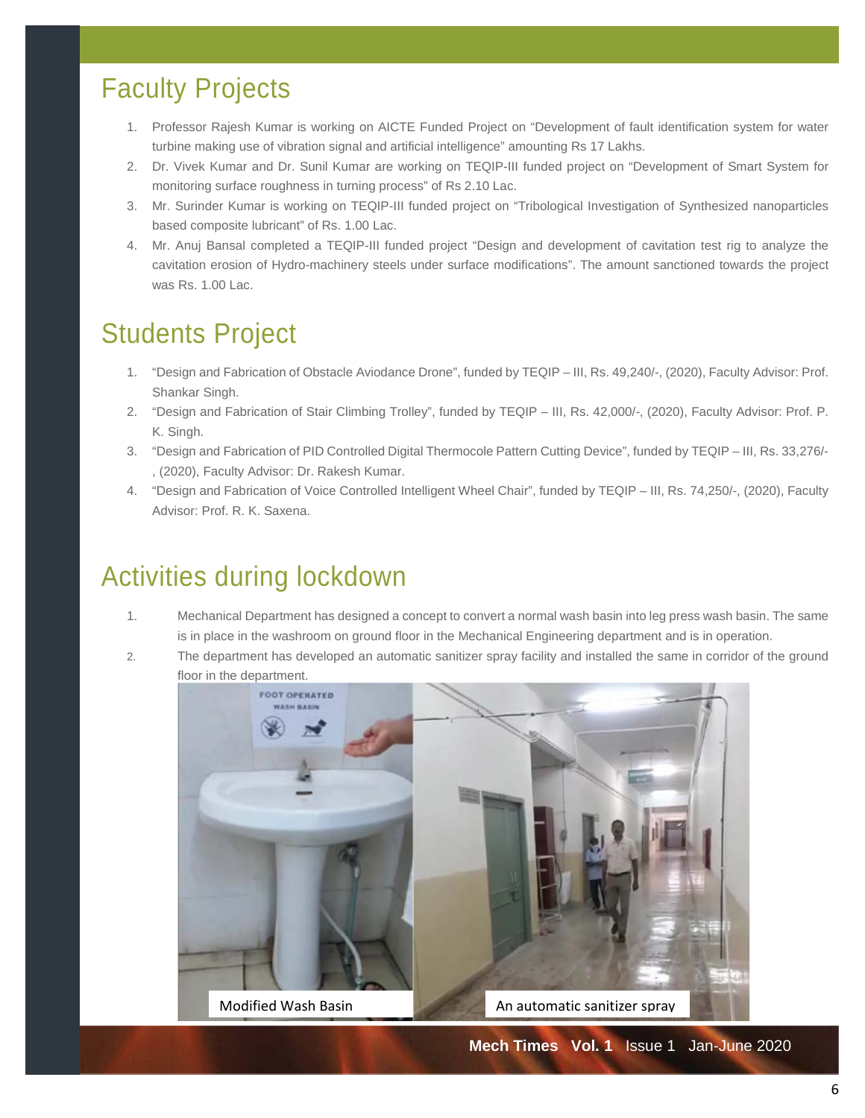# Faculty Projects

- 1. Professor Rajesh Kumar is working on AICTE Funded Project on "Development of fault identification system for water turbine making use of vibration signal and artificial intelligence" amounting Rs 17 Lakhs.
- 2. Dr. Vivek Kumar and Dr. Sunil Kumar are working on TEQIP-III funded project on "Development of Smart System for monitoring surface roughness in turning process" of Rs 2.10 Lac.
- 3. Mr. Surinder Kumar is working on TEQIP-III funded project on "Tribological Investigation of Synthesized nanoparticles based composite lubricant" of Rs. 1.00 Lac.
- 4. Mr. Anuj Bansal completed a TEQIP-III funded project "Design and development of cavitation test rig to analyze the cavitation erosion of Hydro-machinery steels under surface modifications". The amount sanctioned towards the project was Rs. 1.00 Lac.

# Students Project

- 1. "Design and Fabrication of Obstacle Aviodance Drone", funded by TEQIP III, Rs. 49,240/-, (2020), Faculty Advisor: Prof. Shankar Singh.
- 2. "Design and Fabrication of Stair Climbing Trolley", funded by TEQIP III, Rs. 42,000/-, (2020), Faculty Advisor: Prof. P. K. Singh.
- 3. "Design and Fabrication of PID Controlled Digital Thermocole Pattern Cutting Device", funded by TEQIP III, Rs. 33,276/- , (2020), Faculty Advisor: Dr. Rakesh Kumar.
- 4. "Design and Fabrication of Voice Controlled Intelligent Wheel Chair", funded by TEQIP III, Rs. 74,250/-, (2020), Faculty Advisor: Prof. R. K. Saxena.

# Activities during lockdown

- 1. Mechanical Department has designed a concept to convert a normal wash basin into leg press wash basin. The same is in place in the washroom on ground floor in the Mechanical Engineering department and is in operation.
- 2. The department has developed an automatic sanitizer spray facility and installed the same in corridor of the ground floor in the department.

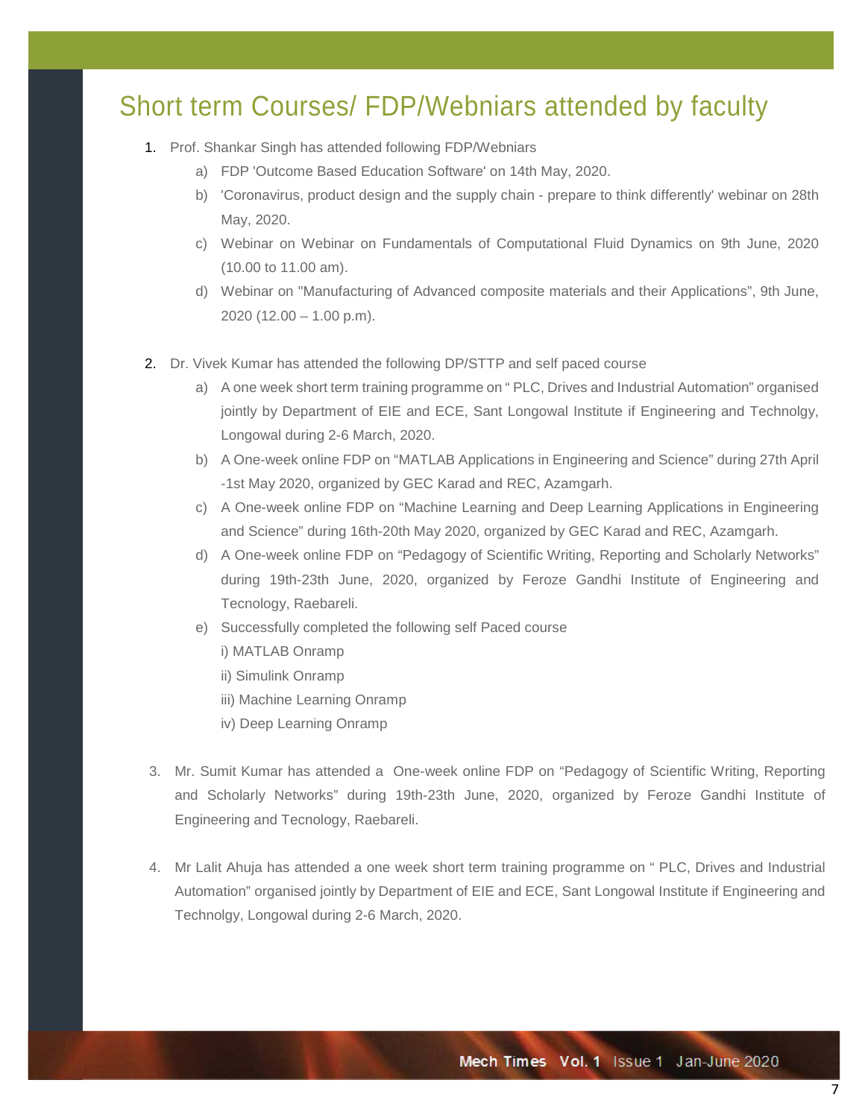# Short term Courses/ FDP/Webniars attended by faculty

- 1. Prof. Shankar Singh has attended following FDP/Webniars
	- a) FDP 'Outcome Based Education Software' on 14th May, 2020.
	- b) 'Coronavirus, product design and the supply chain prepare to think differently' webinar on 28th May, 2020.
	- c) Webinar on Webinar on Fundamentals of Computational Fluid Dynamics on 9th June, 2020 (10.00 to 11.00 am).
	- d) Webinar on "Manufacturing of Advanced composite materials and their Applications", 9th June, 2020 (12.00 – 1.00 p.m).
- 2. Dr. Vivek Kumar has attended the following DP/STTP and self paced course
	- a) A one week short term training programme on " PLC, Drives and Industrial Automation" organised jointly by Department of EIE and ECE, Sant Longowal Institute if Engineering and Technolgy, Longowal during 2-6 March, 2020.
	- b) A One-week online FDP on "MATLAB Applications in Engineering and Science" during 27th April -1st May 2020, organized by GEC Karad and REC, Azamgarh.
	- c) A One-week online FDP on "Machine Learning and Deep Learning Applications in Engineering and Science" during 16th-20th May 2020, organized by GEC Karad and REC, Azamgarh.
	- d) A One-week online FDP on "Pedagogy of Scientific Writing, Reporting and Scholarly Networks" during 19th-23th June, 2020, organized by Feroze Gandhi Institute of Engineering and Tecnology, Raebareli.
	- e) Successfully completed the following self Paced course
		- i) MATLAB Onramp
		- ii) Simulink Onramp
		- iii) Machine Learning Onramp
		- iv) Deep Learning Onramp
- 3. Mr. Sumit Kumar has attended a One-week online FDP on "Pedagogy of Scientific Writing, Reporting and Scholarly Networks" during 19th-23th June, 2020, organized by Feroze Gandhi Institute of Engineering and Tecnology, Raebareli.
- 4. Mr Lalit Ahuja has attended a one week short term training programme on " PLC, Drives and Industrial Automation" organised jointly by Department of EIE and ECE, Sant Longowal Institute if Engineering and Technolgy, Longowal during 2-6 March, 2020.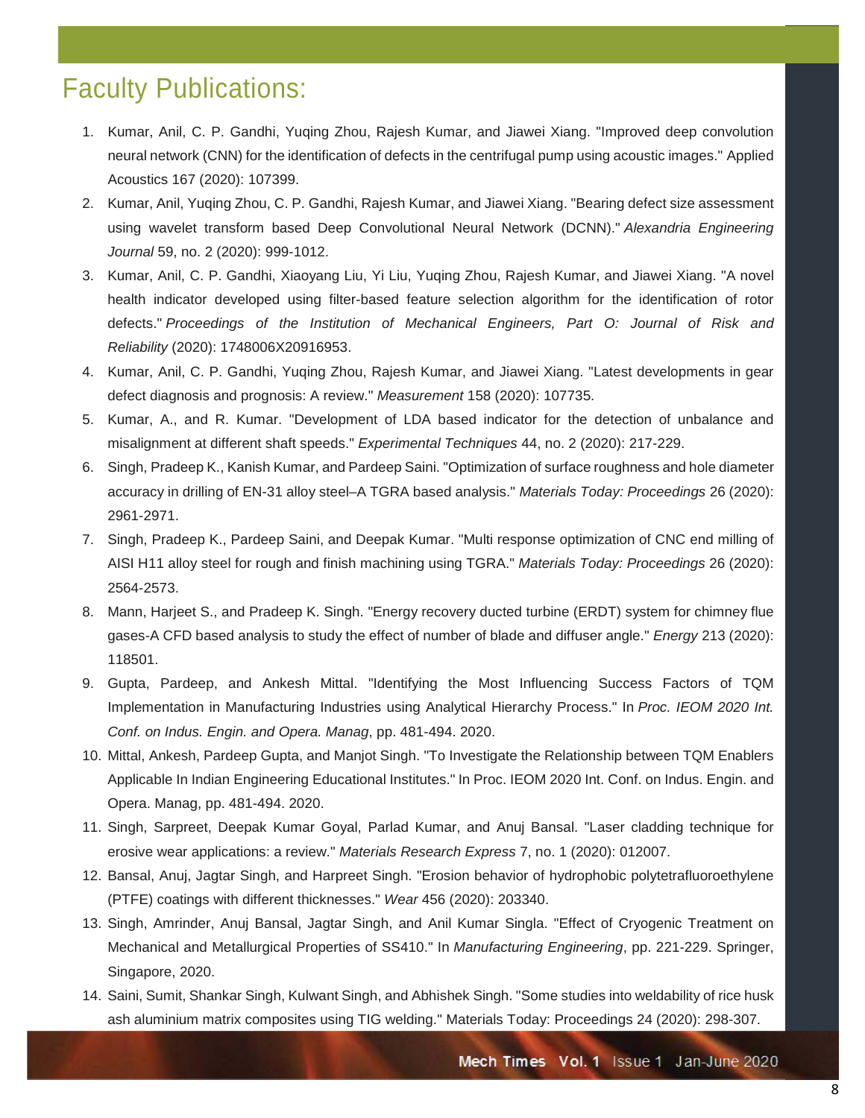# Faculty Publications:

- 1. Kumar, Anil, C. P. Gandhi, Yuqing Zhou, Rajesh Kumar, and Jiawei Xiang. "Improved deep convolution neural network (CNN) for the identification of defects in the centrifugal pump using acoustic images." Applied Acoustics 167 (2020): 107399.
- 2. Kumar, Anil, Yuqing Zhou, C. P. Gandhi, Rajesh Kumar, and Jiawei Xiang. "Bearing defect size assessment using wavelet transform based Deep Convolutional Neural Network (DCNN)." *Alexandria Engineering Journal* 59, no. 2 (2020): 999-1012.
- 3. Kumar, Anil, C. P. Gandhi, Xiaoyang Liu, Yi Liu, Yuqing Zhou, Rajesh Kumar, and Jiawei Xiang. "A novel health indicator developed using filter-based feature selection algorithm for the identification of rotor defects." *Proceedings of the Institution of Mechanical Engineers, Part O: Journal of Risk and Reliability* (2020): 1748006X20916953.
- 4. Kumar, Anil, C. P. Gandhi, Yuqing Zhou, Rajesh Kumar, and Jiawei Xiang. "Latest developments in gear defect diagnosis and prognosis: A review." *Measurement* 158 (2020): 107735.
- 5. Kumar, A., and R. Kumar. "Development of LDA based indicator for the detection of unbalance and misalignment at different shaft speeds." *Experimental Techniques* 44, no. 2 (2020): 217-229.
- 6. Singh, Pradeep K., Kanish Kumar, and Pardeep Saini. "Optimization of surface roughness and hole diameter accuracy in drilling of EN-31 alloy steel–A TGRA based analysis." *Materials Today: Proceedings* 26 (2020): 2961-2971.
- 7. Singh, Pradeep K., Pardeep Saini, and Deepak Kumar. "Multi response optimization of CNC end milling of AISI H11 alloy steel for rough and finish machining using TGRA." *Materials Today: Proceedings* 26 (2020): 2564-2573.
- 8. Mann, Harjeet S., and Pradeep K. Singh. "Energy recovery ducted turbine (ERDT) system for chimney flue gases-A CFD based analysis to study the effect of number of blade and diffuser angle." *Energy* 213 (2020): 118501.
- 9. Gupta, Pardeep, and Ankesh Mittal. "Identifying the Most Influencing Success Factors of TQM Implementation in Manufacturing Industries using Analytical Hierarchy Process." In *Proc. IEOM 2020 Int. Conf. on Indus. Engin. and Opera. Manag*, pp. 481-494. 2020.
- 10. Mittal, Ankesh, Pardeep Gupta, and Manjot Singh. "To Investigate the Relationship between TQM Enablers Applicable In Indian Engineering Educational Institutes." In Proc. IEOM 2020 Int. Conf. on Indus. Engin. and Opera. Manag, pp. 481-494. 2020.
- 11. Singh, Sarpreet, Deepak Kumar Goyal, Parlad Kumar, and Anuj Bansal. "Laser cladding technique for erosive wear applications: a review." *Materials Research Express* 7, no. 1 (2020): 012007.
- 12. Bansal, Anuj, Jagtar Singh, and Harpreet Singh. "Erosion behavior of hydrophobic polytetrafluoroethylene (PTFE) coatings with different thicknesses." *Wear* 456 (2020): 203340.
- 13. Singh, Amrinder, Anuj Bansal, Jagtar Singh, and Anil Kumar Singla. "Effect of Cryogenic Treatment on Mechanical and Metallurgical Properties of SS410." In *Manufacturing Engineering*, pp. 221-229. Springer, Singapore, 2020.
- 14. Saini, Sumit, Shankar Singh, Kulwant Singh, and Abhishek Singh. "Some studies into weldability of rice husk ash aluminium matrix composites using TIG welding." Materials Today: Proceedings 24 (2020): 298-307.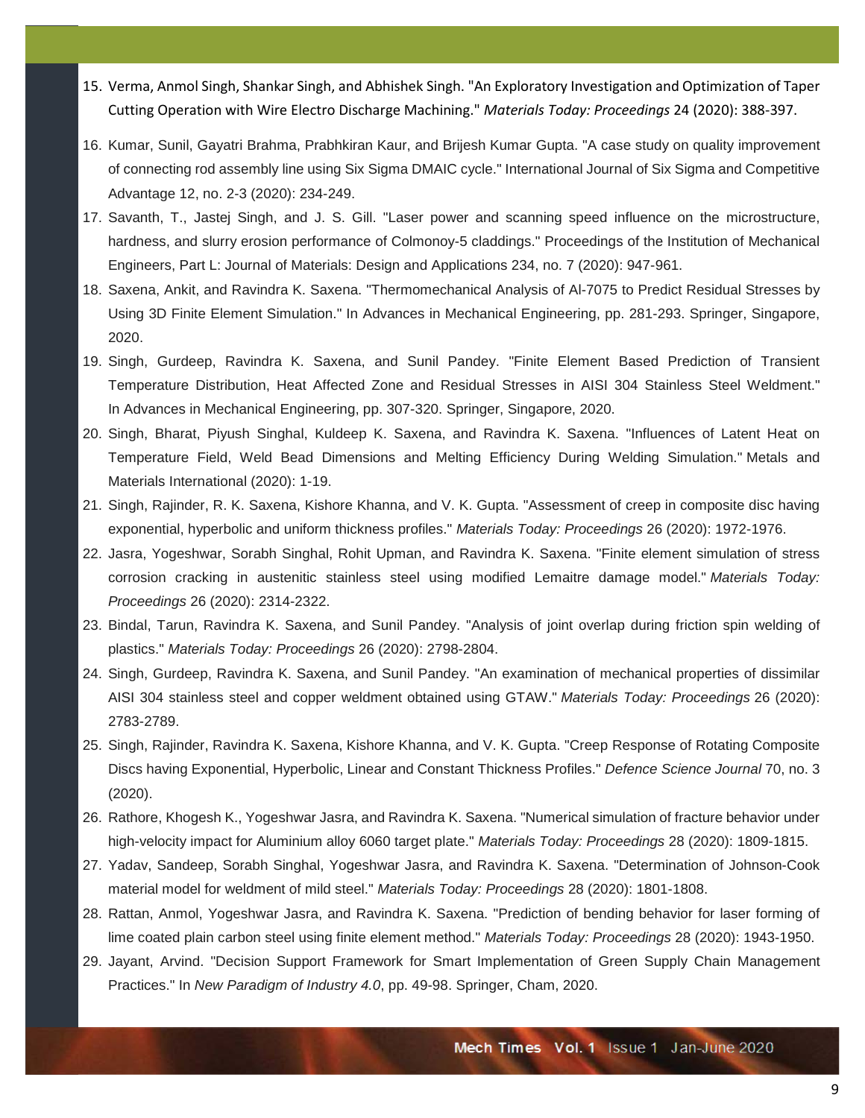- 15. Verma, Anmol Singh, Shankar Singh, and Abhishek Singh. "An Exploratory Investigation and Optimization of Taper Cutting Operation with Wire Electro Discharge Machining." *Materials Today: Proceedings* 24 (2020): 388-397.
- 16. Kumar, Sunil, Gayatri Brahma, Prabhkiran Kaur, and Brijesh Kumar Gupta. "A case study on quality improvement of connecting rod assembly line using Six Sigma DMAIC cycle." International Journal of Six Sigma and Competitive Advantage 12, no. 2-3 (2020): 234-249.
- 17. Savanth, T., Jastej Singh, and J. S. Gill. "Laser power and scanning speed influence on the microstructure, hardness, and slurry erosion performance of Colmonoy-5 claddings." Proceedings of the Institution of Mechanical Engineers, Part L: Journal of Materials: Design and Applications 234, no. 7 (2020): 947-961.
- 18. Saxena, Ankit, and Ravindra K. Saxena. "Thermomechanical Analysis of Al-7075 to Predict Residual Stresses by Using 3D Finite Element Simulation." In Advances in Mechanical Engineering, pp. 281-293. Springer, Singapore, 2020.
- 19. Singh, Gurdeep, Ravindra K. Saxena, and Sunil Pandey. "Finite Element Based Prediction of Transient Temperature Distribution, Heat Affected Zone and Residual Stresses in AISI 304 Stainless Steel Weldment." In Advances in Mechanical Engineering, pp. 307-320. Springer, Singapore, 2020.
- 20. Singh, Bharat, Piyush Singhal, Kuldeep K. Saxena, and Ravindra K. Saxena. "Influences of Latent Heat on Temperature Field, Weld Bead Dimensions and Melting Efficiency During Welding Simulation." Metals and Materials International (2020): 1-19.
- 21. Singh, Rajinder, R. K. Saxena, Kishore Khanna, and V. K. Gupta. "Assessment of creep in composite disc having exponential, hyperbolic and uniform thickness profiles." *Materials Today: Proceedings* 26 (2020): 1972-1976.
- 22. Jasra, Yogeshwar, Sorabh Singhal, Rohit Upman, and Ravindra K. Saxena. "Finite element simulation of stress corrosion cracking in austenitic stainless steel using modified Lemaitre damage model." *Materials Today: Proceedings* 26 (2020): 2314-2322.
- 23. Bindal, Tarun, Ravindra K. Saxena, and Sunil Pandey. "Analysis of joint overlap during friction spin welding of plastics." *Materials Today: Proceedings* 26 (2020): 2798-2804.
- 24. Singh, Gurdeep, Ravindra K. Saxena, and Sunil Pandey. "An examination of mechanical properties of dissimilar AISI 304 stainless steel and copper weldment obtained using GTAW." *Materials Today: Proceedings* 26 (2020): 2783-2789.
- 25. Singh, Rajinder, Ravindra K. Saxena, Kishore Khanna, and V. K. Gupta. "Creep Response of Rotating Composite Discs having Exponential, Hyperbolic, Linear and Constant Thickness Profiles." *Defence Science Journal* 70, no. 3 (2020).
- 26. Rathore, Khogesh K., Yogeshwar Jasra, and Ravindra K. Saxena. "Numerical simulation of fracture behavior under high-velocity impact for Aluminium alloy 6060 target plate." *Materials Today: Proceedings* 28 (2020): 1809-1815.
- 27. Yadav, Sandeep, Sorabh Singhal, Yogeshwar Jasra, and Ravindra K. Saxena. "Determination of Johnson-Cook material model for weldment of mild steel." *Materials Today: Proceedings* 28 (2020): 1801-1808.
- 28. Rattan, Anmol, Yogeshwar Jasra, and Ravindra K. Saxena. "Prediction of bending behavior for laser forming of lime coated plain carbon steel using finite element method." *Materials Today: Proceedings* 28 (2020): 1943-1950.
- 29. Jayant, Arvind. "Decision Support Framework for Smart Implementation of Green Supply Chain Management Practices." In *New Paradigm of Industry 4.0*, pp. 49-98. Springer, Cham, 2020.